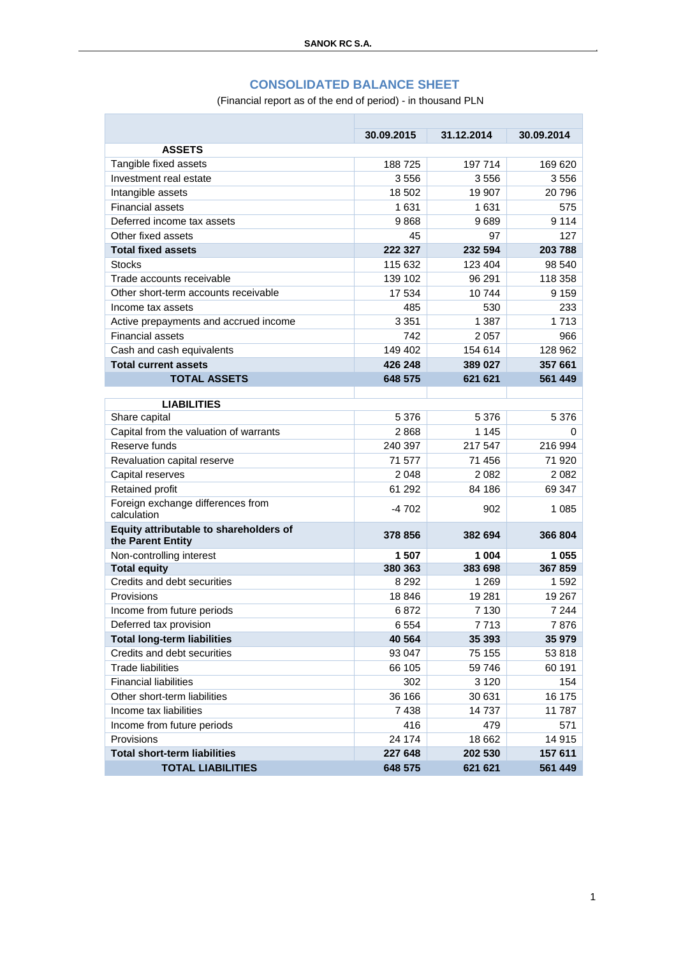### **CONSOLIDATED BALANCE SHEET**

(Financial report as of the end of period) - in thousand PLN

|                                                             | 30.09.2015 | 31.12.2014 | 30.09.2014 |
|-------------------------------------------------------------|------------|------------|------------|
| <b>ASSETS</b>                                               |            |            |            |
| Tangible fixed assets                                       | 188725     | 197 714    | 169 620    |
| Investment real estate                                      | 3556       | 3556       | 3556       |
| Intangible assets                                           | 18 502     | 19 907     | 20796      |
| <b>Financial assets</b>                                     | 1631       | 1631       | 575        |
| Deferred income tax assets                                  | 9868       | 9689       | 9 1 1 4    |
| Other fixed assets                                          | 45         | 97         | 127        |
| <b>Total fixed assets</b>                                   | 222 327    | 232 594    | 203 788    |
| <b>Stocks</b>                                               | 115 632    | 123 404    | 98 540     |
| Trade accounts receivable                                   | 139 102    | 96 291     | 118 358    |
| Other short-term accounts receivable                        | 17 534     | 10744      | 9 1 5 9    |
| Income tax assets                                           | 485        | 530        | 233        |
| Active prepayments and accrued income                       | 3 3 5 1    | 1 3 8 7    | 1 7 1 3    |
| <b>Financial assets</b>                                     | 742        | 2 0 5 7    | 966        |
| Cash and cash equivalents                                   | 149 402    | 154 614    | 128 962    |
| <b>Total current assets</b>                                 | 426 248    | 389 027    | 357 661    |
| <b>TOTAL ASSETS</b>                                         | 648 575    | 621 621    | 561 449    |
|                                                             |            |            |            |
| <b>LIABILITIES</b>                                          |            |            |            |
| Share capital                                               | 5 3 7 6    | 5 376      | 5 3 7 6    |
| Capital from the valuation of warrants                      | 2868       | 1 1 4 5    | $\Omega$   |
| Reserve funds                                               | 240 397    | 217 547    | 216 994    |
| Revaluation capital reserve                                 | 71 577     | 71 456     | 71 920     |
| Capital reserves                                            | 2 0 4 8    | 2082       | 2 0 8 2    |
| Retained profit                                             | 61 292     | 84 186     | 69 347     |
| Foreign exchange differences from<br>calculation            | $-4702$    | 902        | 1 0 8 5    |
| Equity attributable to shareholders of<br>the Parent Entity | 378 856    | 382 694    | 366 804    |
| Non-controlling interest                                    | 1 507      | 1 004      | 1055       |
| <b>Total equity</b>                                         | 380 363    | 383 698    | 367859     |
| Credits and debt securities                                 | 8 2 9 2    | 1 269      | 1592       |
| Provisions                                                  | 18 846     | 19 281     | 19 267     |
| Income from future periods                                  | 6872       | 7 130      | 7 2 4 4    |
| Deferred tax provision                                      | 6 5 5 4    | 7713       | 7876       |
| <b>Total long-term liabilities</b>                          | 40 564     | 35 393     | 35 979     |
| Credits and debt securities                                 | 93 047     | 75 155     | 53 818     |
| <b>Trade liabilities</b>                                    | 66 105     | 59 746     | 60 191     |
| <b>Financial liabilities</b>                                | 302        | 3 1 2 0    | 154        |
| Other short-term liabilities                                | 36 166     | 30 631     | 16 175     |
| Income tax liabilities                                      | 7438       | 14737      | 11787      |
| Income from future periods                                  | 416        | 479        | 571        |
| Provisions                                                  | 24 174     | 18 662     | 14 915     |
| <b>Total short-term liabilities</b>                         | 227 648    | 202 530    | 157 611    |
| <b>TOTAL LIABILITIES</b>                                    | 648 575    | 621 621    | 561 449    |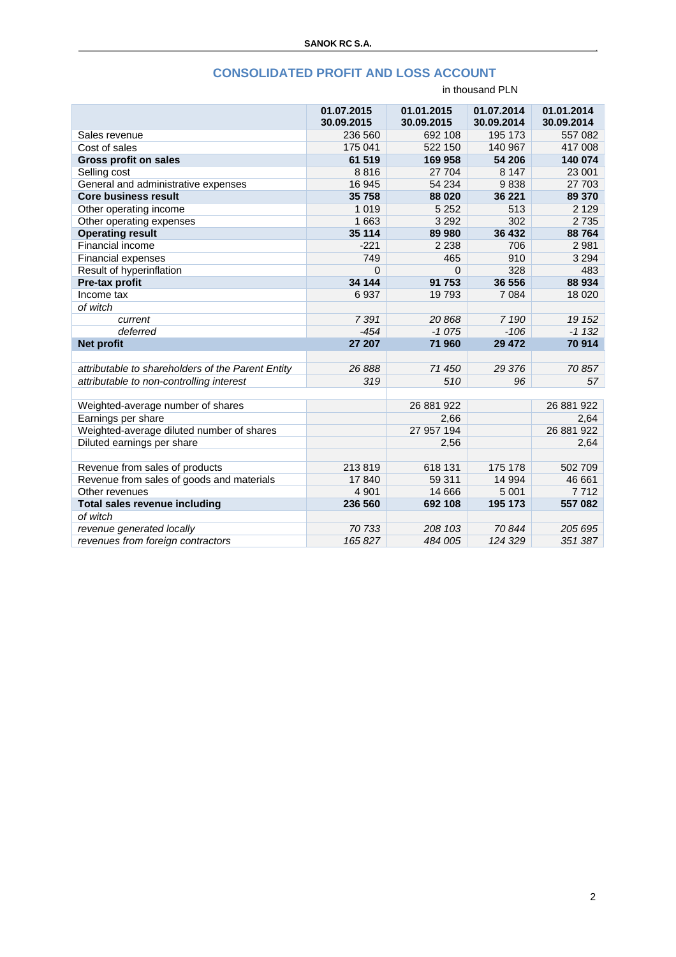# **CONSOLIDATED PROFIT AND LOSS ACCOUNT**

|                                                   | 01.07.2015 | 01.01.2015 | 01.07.2014 | 01.01.2014 |
|---------------------------------------------------|------------|------------|------------|------------|
|                                                   | 30.09.2015 | 30.09.2015 | 30.09.2014 | 30.09.2014 |
| Sales revenue                                     | 236 560    | 692 108    | 195 173    | 557 082    |
| Cost of sales                                     | 175 041    | 522 150    | 140 967    | 417 008    |
| <b>Gross profit on sales</b>                      | 61 519     | 169 958    | 54 206     | 140 074    |
| Selling cost                                      | 8816       | 27 704     | 8 1 4 7    | 23 001     |
| General and administrative expenses               | 16 945     | 54 234     | 9838       | 27 703     |
| <b>Core business result</b>                       | 35 758     | 88 0 20    | 36 221     | 89 370     |
| Other operating income                            | 1 0 1 9    | 5 2 5 2    | 513        | 2 1 2 9    |
| Other operating expenses                          | 1 663      | 3 2 9 2    | 302        | 2735       |
| <b>Operating result</b>                           | 35 114     | 89 980     | 36 432     | 88764      |
| Financial income                                  | $-221$     | 2 2 3 8    | 706        | 2 9 8 1    |
| <b>Financial expenses</b>                         | 749        | 465        | 910        | 3 2 9 4    |
| Result of hyperinflation                          | $\Omega$   | 0          | 328        | 483        |
| Pre-tax profit                                    | 34 144     | 91 753     | 36 556     | 88 934     |
| Income tax                                        | 6937       | 19793      | 7 0 8 4    | 18 0 20    |
| of witch                                          |            |            |            |            |
| current                                           | 7391       | 20868      | 7 190      | 19 152     |
| deferred                                          | $-454$     | $-1075$    | $-106$     | $-1132$    |
| <b>Net profit</b>                                 | 27 207     | 71 960     | 29 472     | 70 914     |
|                                                   |            |            |            |            |
| attributable to shareholders of the Parent Entity | 26 888     | 71 450     | 29 376     | 70857      |
| attributable to non-controlling interest          | 319        | 510        | 96         | 57         |
|                                                   |            |            |            |            |
| Weighted-average number of shares                 |            | 26 881 922 |            | 26 881 922 |
| Earnings per share                                |            | 2,66       |            | 2,64       |
| Weighted-average diluted number of shares         |            | 27 957 194 |            | 26 881 922 |
| Diluted earnings per share                        |            | 2,56       |            | 2,64       |
|                                                   |            |            |            |            |
| Revenue from sales of products                    | 213819     | 618 131    | 175 178    | 502 709    |
| Revenue from sales of goods and materials         | 17840      | 59 311     | 14 9 94    | 46 661     |
| Other revenues                                    | 4 9 0 1    | 14 6 66    | 5 0 0 1    | 7712       |
| Total sales revenue including                     | 236 560    | 692 108    | 195 173    | 557 082    |
| of witch                                          |            |            |            |            |
| revenue generated locally                         | 70 733     | 208 103    | 70844      | 205 695    |
| revenues from foreign contractors                 | 165827     | 484 005    | 124 329    | 351 387    |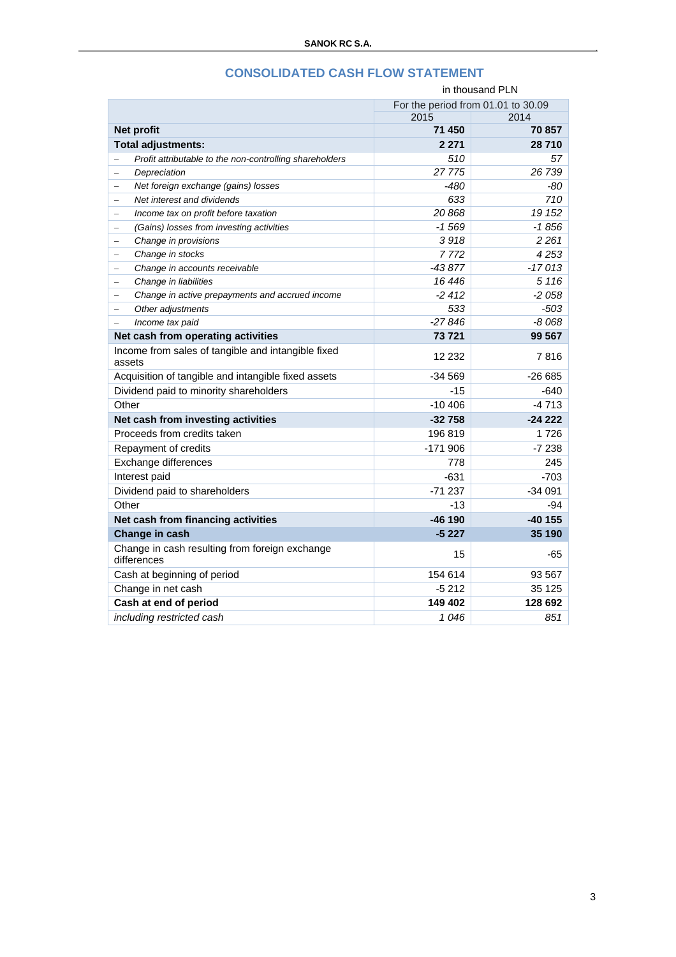| in thousand PLN                                                                                               |                                    |          |  |
|---------------------------------------------------------------------------------------------------------------|------------------------------------|----------|--|
|                                                                                                               | For the period from 01.01 to 30.09 |          |  |
|                                                                                                               | 2015                               | 2014     |  |
| Net profit                                                                                                    | 71 450                             | 70 857   |  |
| <b>Total adjustments:</b>                                                                                     | 2 2 7 1                            | 28710    |  |
| Profit attributable to the non-controlling shareholders                                                       | 510                                | 57       |  |
| Depreciation<br>$\equiv$                                                                                      | 27775                              | 26 739   |  |
| Net foreign exchange (gains) losses<br>÷                                                                      | -480                               | -80      |  |
| Net interest and dividends<br>$\equiv$                                                                        | 633                                | 710      |  |
| Income tax on profit before taxation                                                                          | 20868                              | 19 152   |  |
| (Gains) losses from investing activities<br>$\equiv$                                                          | $-1569$                            | $-1856$  |  |
| Change in provisions<br>$\equiv$                                                                              | 3918                               | 2 2 6 1  |  |
| Change in stocks<br>$\qquad \qquad -$                                                                         | 7 772                              | 4253     |  |
| Change in accounts receivable<br>$\hspace{0.1in} \hspace{0.1in} \hspace{0.1in} \hspace{0.1in} \hspace{0.1in}$ | $-43877$                           | $-17013$ |  |
| Change in liabilities<br>-                                                                                    | 16 446                             | 5 1 1 6  |  |
| Change in active prepayments and accrued income<br>$\equiv$                                                   | $-2412$                            | $-2058$  |  |
| Other adjustments<br>$\equiv$                                                                                 | 533                                | $-503$   |  |
| Income tax paid<br>$\equiv$                                                                                   | $-27846$                           | $-8068$  |  |
| Net cash from operating activities                                                                            | 73 721                             | 99 567   |  |
| Income from sales of tangible and intangible fixed<br>assets                                                  | 12 232                             | 7816     |  |
| Acquisition of tangible and intangible fixed assets                                                           | -34 569                            | -26 685  |  |
| Dividend paid to minority shareholders                                                                        | $-15$                              | $-640$   |  |
| Other                                                                                                         | $-10406$                           | $-4713$  |  |
| Net cash from investing activities                                                                            | $-32758$                           | $-24222$ |  |
| Proceeds from credits taken                                                                                   | 196819                             | 1726     |  |
| Repayment of credits                                                                                          | $-171906$                          | $-7238$  |  |
| Exchange differences                                                                                          | 778                                | 245      |  |
| Interest paid                                                                                                 | $-631$                             | $-703$   |  |
| Dividend paid to shareholders                                                                                 | $-71237$                           | $-34091$ |  |
| Other                                                                                                         | -13                                | -94      |  |
| Net cash from financing activities                                                                            | -46 190                            | -40 155  |  |
| Change in cash                                                                                                | $-5227$                            | 35 190   |  |
| Change in cash resulting from foreign exchange<br>differences                                                 | 15                                 | $-65$    |  |
| Cash at beginning of period                                                                                   | 154 614                            | 93 567   |  |
| Change in net cash                                                                                            | $-5212$                            | 35 125   |  |
| Cash at end of period                                                                                         | 149 402                            | 128 692  |  |
| includina restricted cash                                                                                     | 1046                               | 851      |  |

## **CONSOLIDATED CASH FLOW STATEMENT**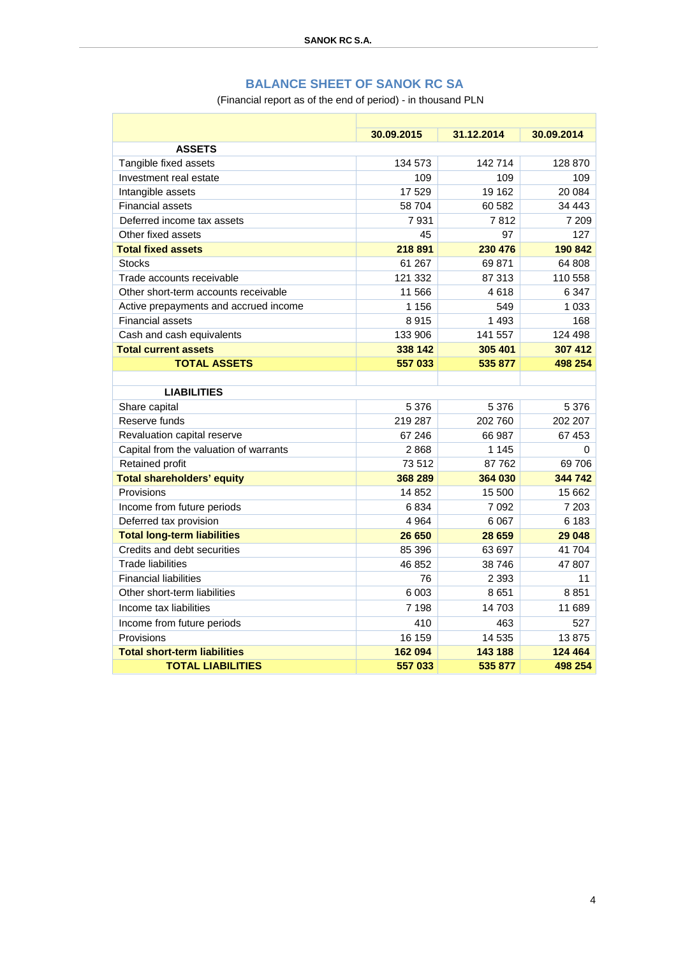## **BALANCE SHEET OF SANOK RC SA**

(Financial report as of the end of period) - in thousand PLN

|                                        | 30.09.2015 | 31.12.2014 | 30.09.2014 |  |
|----------------------------------------|------------|------------|------------|--|
| <b>ASSETS</b>                          |            |            |            |  |
| Tangible fixed assets                  | 134 573    | 142 714    | 128 870    |  |
| Investment real estate                 | 109        | 109        | 109        |  |
| Intangible assets                      | 17 529     | 19 162     | 20 084     |  |
| <b>Financial assets</b>                | 58 704     | 60 582     | 34 443     |  |
| Deferred income tax assets             | 7931       | 7812       | 7 209      |  |
| Other fixed assets                     | 45         | 97         | 127        |  |
| <b>Total fixed assets</b>              | 218 891    | 230 476    | 190 842    |  |
| <b>Stocks</b>                          | 61 267     | 69 871     | 64 808     |  |
| Trade accounts receivable              | 121 332    | 87 313     | 110 558    |  |
| Other short-term accounts receivable   | 11 566     | 4618       | 6 3 4 7    |  |
| Active prepayments and accrued income  | 1 1 5 6    | 549        | 1 0 3 3    |  |
| <b>Financial assets</b>                | 8915       | 1 4 9 3    | 168        |  |
| Cash and cash equivalents              | 133 906    | 141 557    | 124 498    |  |
| <b>Total current assets</b>            | 338 142    | 305 401    | 307 412    |  |
| <b>TOTAL ASSETS</b>                    | 557 033    | 535 877    | 498 254    |  |
|                                        |            |            |            |  |
| <b>LIABILITIES</b>                     |            |            |            |  |
| Share capital                          | 5 3 7 6    | 5 3 7 6    | 5 3 7 6    |  |
| Reserve funds                          | 219 287    | 202 760    | 202 207    |  |
| Revaluation capital reserve            | 67 246     | 66 987     | 67453      |  |
| Capital from the valuation of warrants | 2868       | 1 1 4 5    | $\Omega$   |  |
| Retained profit                        | 73512      | 87 762     | 69706      |  |
| <b>Total shareholders' equity</b>      | 368 289    | 364 030    | 344 742    |  |
| Provisions                             | 14 8 52    | 15 500     | 15 662     |  |
| Income from future periods             | 6834       | 7 0 9 2    | 7 2 0 3    |  |
| Deferred tax provision                 | 4 9 64     | 6 0 67     | 6 183      |  |
| <b>Total long-term liabilities</b>     | 26 650     | 28 659     | 29 048     |  |
| Credits and debt securities            | 85 396     | 63 697     | 41 704     |  |
| <b>Trade liabilities</b>               | 46 852     | 38746      | 47 807     |  |
| <b>Financial liabilities</b>           | 76         | 2 3 9 3    | 11         |  |
| Other short-term liabilities           | 6 0 03     | 8651       | 8851       |  |
| Income tax liabilities                 | 7 198      | 14703      | 11 689     |  |
| Income from future periods             | 410        | 463        | 527        |  |
| Provisions                             | 16 159     | 14 535     | 13875      |  |
| <b>Total short-term liabilities</b>    | 162 094    | 143 188    | 124 464    |  |
| <b>TOTAL LIABILITIES</b>               | 557 033    | 535 877    | 498 254    |  |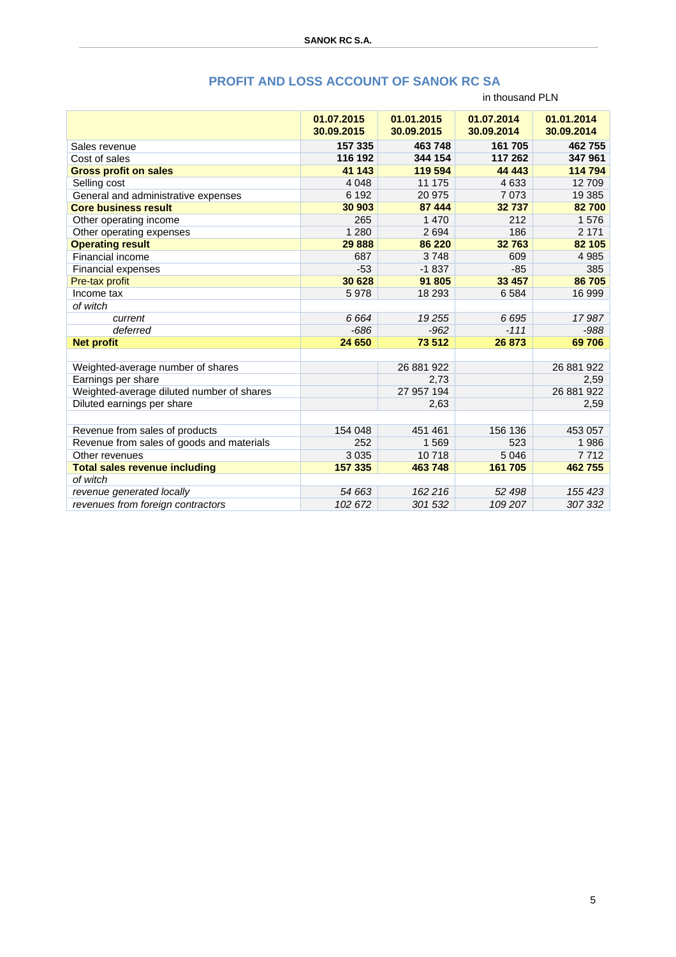### **PROFIT AND LOSS ACCOUNT OF SANOK RC SA**

#### in thousand PLN

|                                           | 01.07.2015<br>30.09.2015 | 01.01.2015<br>30.09.2015 | 01.07.2014<br>30.09.2014 | 01.01.2014<br>30.09.2014 |
|-------------------------------------------|--------------------------|--------------------------|--------------------------|--------------------------|
| Sales revenue                             | 157 335                  | 463 748                  | 161 705                  | 462755                   |
| Cost of sales                             | 116 192                  | 344 154                  | 117 262                  | 347 961                  |
| <b>Gross profit on sales</b>              | 41 143                   | 119 594                  | 44 4 43                  | 114 794                  |
| Selling cost                              | 4 0 4 8                  | 11 175                   | 4633                     | 12709                    |
| General and administrative expenses       | 6 1 9 2                  | 20 975                   | 7073                     | 19 385                   |
| <b>Core business result</b>               | 30 903                   | 87 444                   | 32737                    | 82 700                   |
| Other operating income                    | 265                      | 1 470                    | 212                      | 1576                     |
| Other operating expenses                  | 1 2 8 0                  | 2694                     | 186                      | 2 1 7 1                  |
| <b>Operating result</b>                   | 29 8 88                  | 86 220                   | 32763                    | 82 105                   |
| Financial income                          | 687                      | 3748                     | 609                      | 4 9 8 5                  |
| <b>Financial expenses</b>                 | $-53$                    | $-1837$                  | $-85$                    | 385                      |
| Pre-tax profit                            | 30 628                   | 91 805                   | 33 457                   | 86 705                   |
| Income tax                                | 5978                     | 18 293                   | 6584                     | 16 999                   |
| of witch                                  |                          |                          |                          |                          |
| current                                   | 6 6 6 4                  | 19 255                   | 6695                     | 17987                    |
| deferred                                  | $-686$                   | $-962$                   | $-111$                   | $-988$                   |
| <b>Net profit</b>                         | 24 650                   | 73 512                   | 26 873                   | 69706                    |
|                                           |                          |                          |                          |                          |
| Weighted-average number of shares         |                          | 26 881 922               |                          | 26 881 922               |
| Earnings per share                        |                          | 2,73                     |                          | 2,59                     |
| Weighted-average diluted number of shares |                          | 27 957 194               |                          | 26 881 922               |
| Diluted earnings per share                |                          | 2,63                     |                          | 2,59                     |
|                                           |                          |                          |                          |                          |
| Revenue from sales of products            | 154 048                  | 451 461                  | 156 136                  | 453 057                  |
| Revenue from sales of goods and materials | 252                      | 1569                     | 523                      | 1986                     |
| Other revenues                            | 3 0 3 5                  | 10718                    | 5 0 4 6                  | 7712                     |
| <b>Total sales revenue including</b>      | 157 335                  | 463 748                  | 161 705                  | 462755                   |
| of witch                                  |                          |                          |                          |                          |
| revenue generated locally                 | 54 663                   | 162 216                  | 52 498                   | 155 423                  |
| revenues from foreign contractors         | 102 672                  | 301 532                  | 109 207                  | 307 332                  |